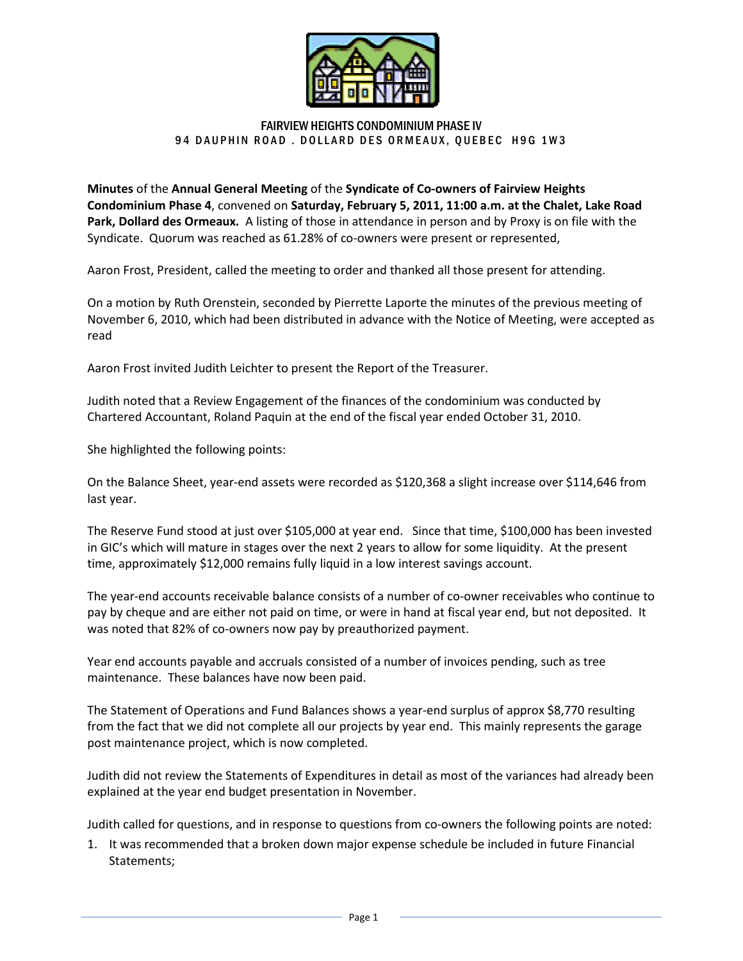

## FAIRVIEW HEIGHTS CONDOMINIUM PHASE IV 94 DAUPHIN ROAD . DOLLARD DES ORMEAUX, QUEBEC H9G 1W3

Minutes of the Annual General Meeting of the Syndicate of Co-owners of Fairview Heights Condominium Phase 4, convened on Saturday, February 5, 2011, 11:00 a.m. at the Chalet, Lake Road Park, Dollard des Ormeaux. A listing of those in attendance in person and by Proxy is on file with the Syndicate. Quorum was reached as 61.28% of co-owners were present or represented, RD DES ORMEAUX, QUEBEC H9G 1W3<br>
e **Syndicate of Co-owners of Fairview Heights**<br> **c**, **February 5, 2011, 11:00 a.m. at the Chalet,<br>
in attendance in person and by Proxy is on fill<br>
co-owners were present or represented,<br>
by** 

Aaron Frost, President, called the meeting to order and thanked all those present for attending.

On a motion by Ruth Orenstein, seconded by Pierrette Laporte the minutes of the previous meeting of November 6, 2010, which had been distributed in advance with the Notice of Meeting, were accepted as read by Ruth Orenstein, seconded by Pierrette Laporte the minutes of the previ<br>2010, which had been distributed in advance with the Notice of Meeting,<br>nvited Judith Leichter to present the Report of the Treasurer.

Aaron Frost invited Judith Leichter to present the Report of the Treasurer.

Judith noted that a Review Engagement of the finances of the condominium was conducted by Chartered Accountant, Roland Paquin at the end of the fiscal year ended October 31, 201

She highlighted the following points:

On the Balance Sheet, year-end assets were recorded as \$120,368 a slight increase over \$114,646 from last year.

The Reserve Fund stood at just over \$105,000 at year end. Since that time, \$100,000 has been invested in GIC's which will mature in stages over the next 2 years to allow for some liquidity. At the present time, approximately \$12,000 remains fully liquid in a low interest savings account. Judith noted that a Review Engagement of the finances of the condominium was conducted by<br>Chartered Accountant, Roland Paquin at the end of the fiscal year ended October 31, 2010.<br>She highlighted the following points:<br>On t

The year-end accounts receivable balance consists of a number of co-owner receivables who continue to pay by cheque and are either not paid on time, or were in hand at fiscal year end, but not deposited. It<br>was noted that 82% of co-owners now pay by preauthorized payment.<br>Year end accounts payable and accruals consisted of was noted that 82% of co-owners now pay by preauthorized payment.

Year end accounts payable and accruals consisted of a number o maintenance. These balances have now been paid.

The Statement of Operations and Fund Balances shows a year-end surplus of approx \$8,770 resulting from the fact that we did not complete all our projects by year end. This mainly represents the garage post maintenance project, which is now completed. r of co-owner receivables who continue<br>d at fiscal year end, but not deposited.<br>ayment.<br>of invoices pending, such as tree<br>end surplus of approx \$8,770 resulting<br>end. This mainly represents the garage<br>as most of the varianc

Judith did not review the Statements of Expenditures in detail as most of the variances had already been explained at the year end budget presentation in November. explained at the year end budget presentation in November.<br>Judith called for questions, and in response to questions from co-owners the following points are noted:

1. It was recommended that a broken down major expense schedule be included in future Financial Statements;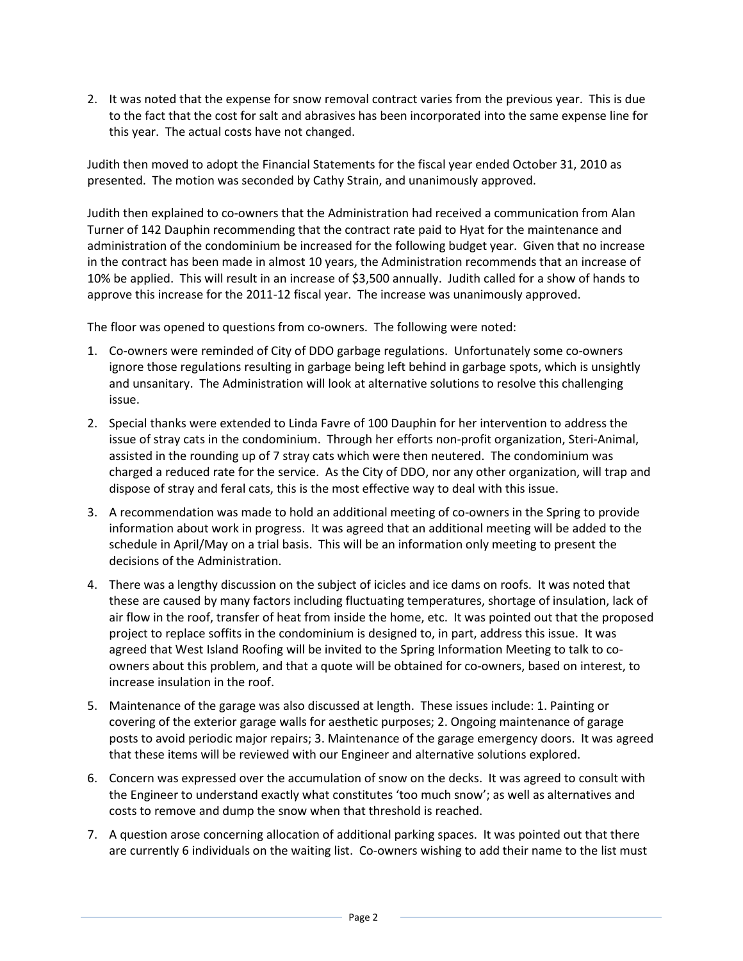2. It was noted that the expense for snow removal contract varies from the previous year. This is due to the fact that the cost for salt and abrasives has been incorporated into the same expense line for this year. The actual costs have not changed.

Judith then moved to adopt the Financial Statements for the fiscal year ended October 31, 2010 as presented. The motion was seconded by Cathy Strain, and unanimously approved.

Judith then explained to co-owners that the Administration had received a communication from Alan Turner of 142 Dauphin recommending that the contract rate paid to Hyat for the maintenance and administration of the condominium be increased for the following budget year. Given that no increase in the contract has been made in almost 10 years, the Administration recommends that an increase of 10% be applied. This will result in an increase of \$3,500 annually. Judith called for a show of hands to approve this increase for the 2011-12 fiscal year. The increase was unanimously approved.

The floor was opened to questions from co-owners. The following were noted:

- 1. Co-owners were reminded of City of DDO garbage regulations. Unfortunately some co-owners ignore those regulations resulting in garbage being left behind in garbage spots, which is unsightly and unsanitary. The Administration will look at alternative solutions to resolve this challenging issue.
- 2. Special thanks were extended to Linda Favre of 100 Dauphin for her intervention to address the issue of stray cats in the condominium. Through her efforts non-profit organization, Steri-Animal, assisted in the rounding up of 7 stray cats which were then neutered. The condominium was charged a reduced rate for the service. As the City of DDO, nor any other organization, will trap and dispose of stray and feral cats, this is the most effective way to deal with this issue.
- 3. A recommendation was made to hold an additional meeting of co-owners in the Spring to provide information about work in progress. It was agreed that an additional meeting will be added to the schedule in April/May on a trial basis. This will be an information only meeting to present the decisions of the Administration.
- 4. There was a lengthy discussion on the subject of icicles and ice dams on roofs. It was noted that these are caused by many factors including fluctuating temperatures, shortage of insulation, lack of air flow in the roof, transfer of heat from inside the home, etc. It was pointed out that the proposed project to replace soffits in the condominium is designed to, in part, address this issue. It was agreed that West Island Roofing will be invited to the Spring Information Meeting to talk to coowners about this problem, and that a quote will be obtained for co-owners, based on interest, to increase insulation in the roof.
- 5. Maintenance of the garage was also discussed at length. These issues include: 1. Painting or covering of the exterior garage walls for aesthetic purposes; 2. Ongoing maintenance of garage posts to avoid periodic major repairs; 3. Maintenance of the garage emergency doors. It was agreed that these items will be reviewed with our Engineer and alternative solutions explored.
- 6. Concern was expressed over the accumulation of snow on the decks. It was agreed to consult with the Engineer to understand exactly what constitutes 'too much snow'; as well as alternatives and costs to remove and dump the snow when that threshold is reached.
- 7. A question arose concerning allocation of additional parking spaces. It was pointed out that there are currently 6 individuals on the waiting list. Co-owners wishing to add their name to the list must